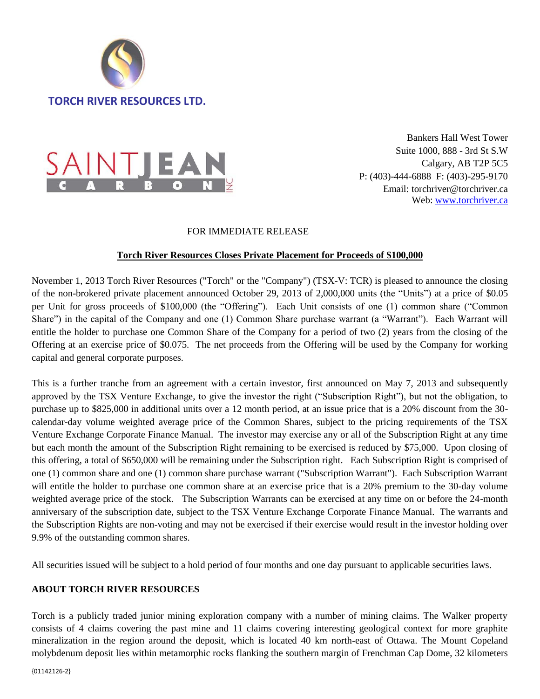



Bankers Hall West Tower Suite 1000, 888 - 3rd St S.W Calgary, AB T2P 5C5 P: (403)-444-6888 F: (403)-295-9170 Email: torchriver@torchriver.ca Web: www.torchriver.ca

## FOR IMMEDIATE RELEASE

## **Torch River Resources Closes Private Placement for Proceeds of \$100,000**

November 1, 2013 Torch River Resources ("Torch" or the "Company") (TSX-V: TCR) is pleased to announce the closing of the non-brokered private placement announced October 29, 2013 of 2,000,000 units (the "Units") at a price of \$0.05 per Unit for gross proceeds of \$100,000 (the "Offering"). Each Unit consists of one (1) common share ("Common Share") in the capital of the Company and one (1) Common Share purchase warrant (a "Warrant"). Each Warrant will entitle the holder to purchase one Common Share of the Company for a period of two (2) years from the closing of the Offering at an exercise price of \$0.075. The net proceeds from the Offering will be used by the Company for working capital and general corporate purposes.

This is a further tranche from an agreement with a certain investor, first announced on May 7, 2013 and subsequently approved by the TSX Venture Exchange, to give the investor the right ("Subscription Right"), but not the obligation, to purchase up to \$825,000 in additional units over a 12 month period, at an issue price that is a 20% discount from the 30 calendar-day volume weighted average price of the Common Shares, subject to the pricing requirements of the TSX Venture Exchange Corporate Finance Manual. The investor may exercise any or all of the Subscription Right at any time but each month the amount of the Subscription Right remaining to be exercised is reduced by \$75,000. Upon closing of this offering, a total of \$650,000 will be remaining under the Subscription right. Each Subscription Right is comprised of one (1) common share and one (1) common share purchase warrant ("Subscription Warrant"). Each Subscription Warrant will entitle the holder to purchase one common share at an exercise price that is a 20% premium to the 30-day volume weighted average price of the stock. The Subscription Warrants can be exercised at any time on or before the 24-month anniversary of the subscription date, subject to the TSX Venture Exchange Corporate Finance Manual. The warrants and the Subscription Rights are non-voting and may not be exercised if their exercise would result in the investor holding over 9.9% of the outstanding common shares.

All securities issued will be subject to a hold period of four months and one day pursuant to applicable securities laws.

## **ABOUT TORCH RIVER RESOURCES**

Torch is a publicly traded junior mining exploration company with a number of mining claims. The Walker property consists of 4 claims covering the past mine and 11 claims covering interesting geological context for more graphite mineralization in the region around the deposit, which is located 40 km north-east of Ottawa. The Mount Copeland molybdenum deposit lies within metamorphic rocks flanking the southern margin of Frenchman Cap Dome, 32 kilometers